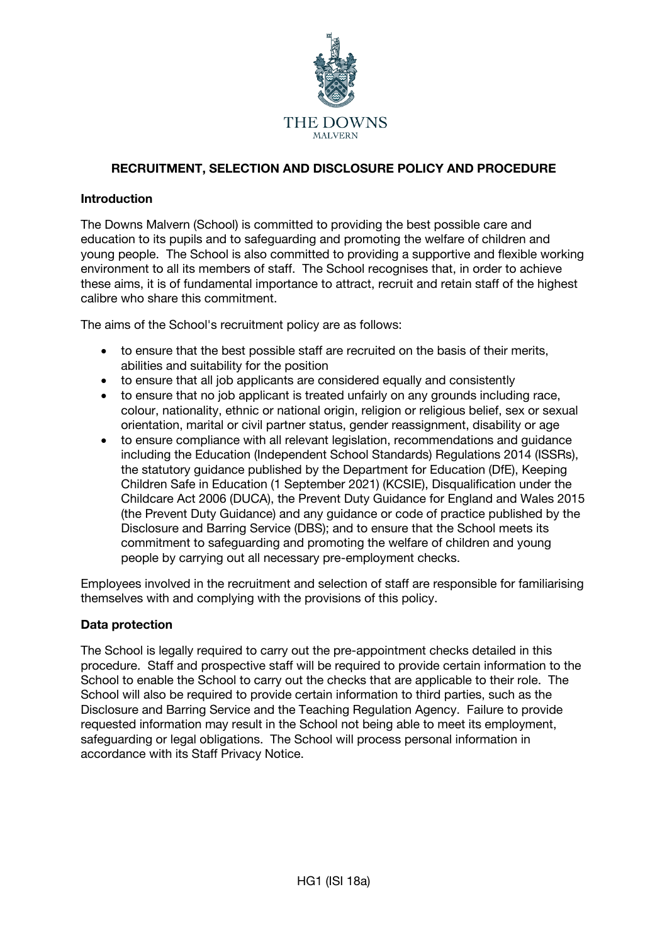

# **RECRUITMENT, SELECTION AND DISCLOSURE POLICY AND PROCEDURE**

## **Introduction**

The Downs Malvern (School) is committed to providing the best possible care and education to its pupils and to safeguarding and promoting the welfare of children and young people. The School is also committed to providing a supportive and flexible working environment to all its members of staff. The School recognises that, in order to achieve these aims, it is of fundamental importance to attract, recruit and retain staff of the highest calibre who share this commitment.

The aims of the School's recruitment policy are as follows:

- to ensure that the best possible staff are recruited on the basis of their merits, abilities and suitability for the position
- to ensure that all job applicants are considered equally and consistently
- to ensure that no job applicant is treated unfairly on any grounds including race, colour, nationality, ethnic or national origin, religion or religious belief, sex or sexual orientation, marital or civil partner status, gender reassignment, disability or age
- to ensure compliance with all relevant legislation, recommendations and guidance including the Education (Independent School Standards) Regulations 2014 (ISSRs), the statutory guidance published by the Department for Education (DfE), Keeping Children Safe in Education (1 September 2021) (KCSIE), Disqualification under the Childcare Act 2006 (DUCA), the Prevent Duty Guidance for England and Wales 2015 (the Prevent Duty Guidance) and any guidance or code of practice published by the Disclosure and Barring Service (DBS); and to ensure that the School meets its commitment to safeguarding and promoting the welfare of children and young people by carrying out all necessary pre-employment checks.

Employees involved in the recruitment and selection of staff are responsible for familiarising themselves with and complying with the provisions of this policy.

## **Data protection**

The School is legally required to carry out the pre-appointment checks detailed in this procedure. Staff and prospective staff will be required to provide certain information to the School to enable the School to carry out the checks that are applicable to their role. The School will also be required to provide certain information to third parties, such as the Disclosure and Barring Service and the Teaching Regulation Agency. Failure to provide requested information may result in the School not being able to meet its employment, safeguarding or legal obligations. The School will process personal information in accordance with its Staff Privacy Notice.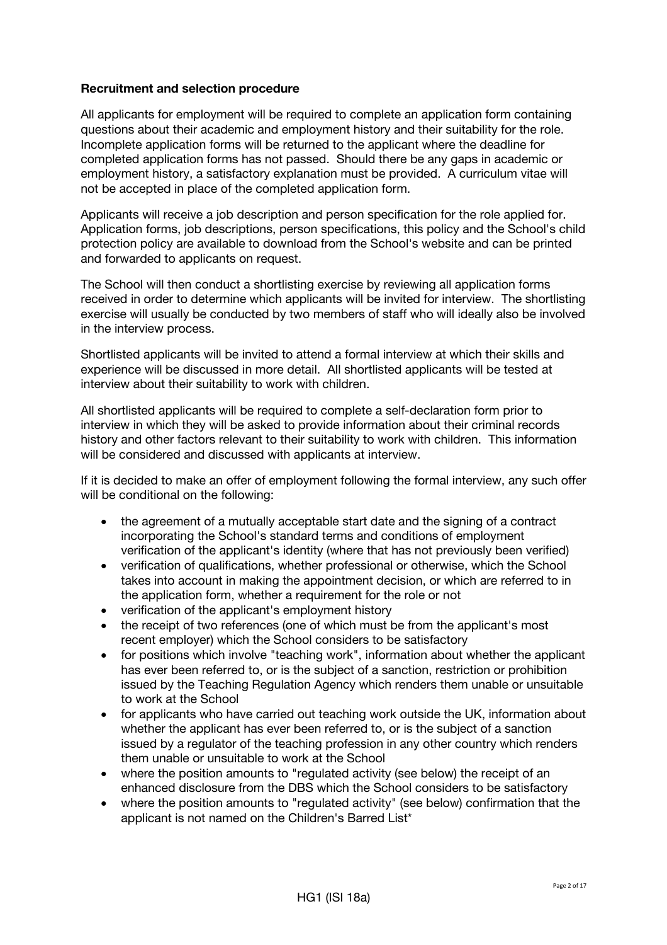## **Recruitment and selection procedure**

All applicants for employment will be required to complete an application form containing questions about their academic and employment history and their suitability for the role. Incomplete application forms will be returned to the applicant where the deadline for completed application forms has not passed. Should there be any gaps in academic or employment history, a satisfactory explanation must be provided. A curriculum vitae will not be accepted in place of the completed application form.

Applicants will receive a job description and person specification for the role applied for. Application forms, job descriptions, person specifications, this policy and the School's child protection policy are available to download from the School's website and can be printed and forwarded to applicants on request.

The School will then conduct a shortlisting exercise by reviewing all application forms received in order to determine which applicants will be invited for interview. The shortlisting exercise will usually be conducted by two members of staff who will ideally also be involved in the interview process.

Shortlisted applicants will be invited to attend a formal interview at which their skills and experience will be discussed in more detail. All shortlisted applicants will be tested at interview about their suitability to work with children.

All shortlisted applicants will be required to complete a self-declaration form prior to interview in which they will be asked to provide information about their criminal records history and other factors relevant to their suitability to work with children. This information will be considered and discussed with applicants at interview.

If it is decided to make an offer of employment following the formal interview, any such offer will be conditional on the following:

- the agreement of a mutually acceptable start date and the signing of a contract incorporating the School's standard terms and conditions of employment verification of the applicant's identity (where that has not previously been verified)
- verification of qualifications, whether professional or otherwise, which the School takes into account in making the appointment decision, or which are referred to in the application form, whether a requirement for the role or not
- verification of the applicant's employment history
- the receipt of two references (one of which must be from the applicant's most recent employer) which the School considers to be satisfactory
- for positions which involve "teaching work", information about whether the applicant has ever been referred to, or is the subject of a sanction, restriction or prohibition issued by the Teaching Regulation Agency which renders them unable or unsuitable to work at the School
- for applicants who have carried out teaching work outside the UK, information about whether the applicant has ever been referred to, or is the subject of a sanction issued by a regulator of the teaching profession in any other country which renders them unable or unsuitable to work at the School
- where the position amounts to "regulated activity (see below) the receipt of an enhanced disclosure from the DBS which the School considers to be satisfactory
- where the position amounts to "regulated activity" (see below) confirmation that the applicant is not named on the Children's Barred List\*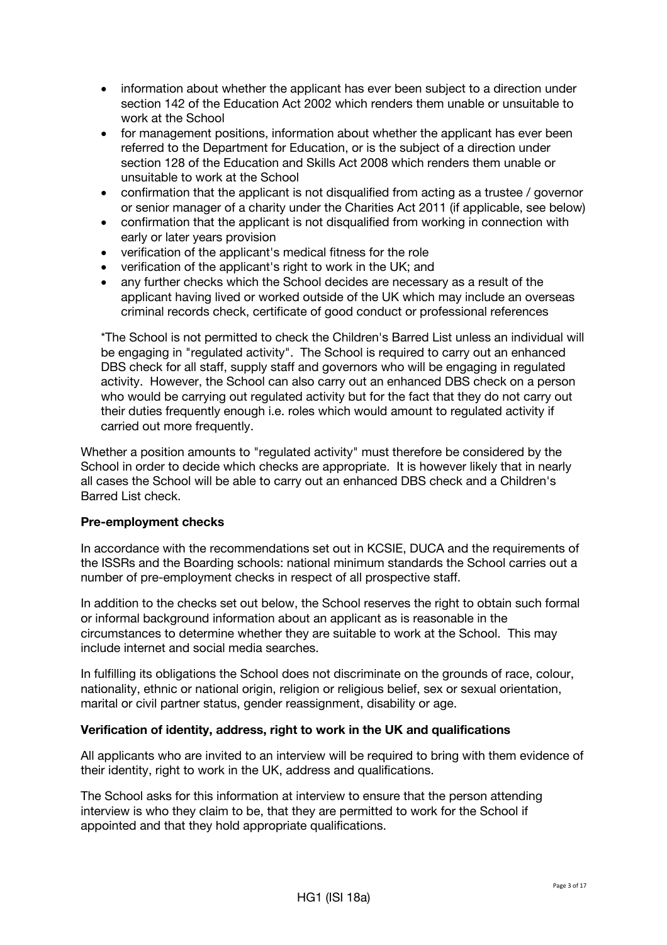- information about whether the applicant has ever been subject to a direction under section 142 of the Education Act 2002 which renders them unable or unsuitable to work at the School
- for management positions, information about whether the applicant has ever been referred to the Department for Education, or is the subject of a direction under section 128 of the Education and Skills Act 2008 which renders them unable or unsuitable to work at the School
- confirmation that the applicant is not disqualified from acting as a trustee / governor or senior manager of a charity under the Charities Act 2011 (if applicable, see below)
- confirmation that the applicant is not disqualified from working in connection with early or later years provision
- verification of the applicant's medical fitness for the role
- verification of the applicant's right to work in the UK; and
- any further checks which the School decides are necessary as a result of the applicant having lived or worked outside of the UK which may include an overseas criminal records check, certificate of good conduct or professional references

\*The School is not permitted to check the Children's Barred List unless an individual will be engaging in "regulated activity". The School is required to carry out an enhanced DBS check for all staff, supply staff and governors who will be engaging in regulated activity. However, the School can also carry out an enhanced DBS check on a person who would be carrying out regulated activity but for the fact that they do not carry out their duties frequently enough i.e. roles which would amount to regulated activity if carried out more frequently.

Whether a position amounts to "regulated activity" must therefore be considered by the School in order to decide which checks are appropriate. It is however likely that in nearly all cases the School will be able to carry out an enhanced DBS check and a Children's Barred List check.

## **Pre-employment checks**

In accordance with the recommendations set out in KCSIE, DUCA and the requirements of the ISSRs and the Boarding schools: national minimum standards the School carries out a number of pre-employment checks in respect of all prospective staff.

In addition to the checks set out below, the School reserves the right to obtain such formal or informal background information about an applicant as is reasonable in the circumstances to determine whether they are suitable to work at the School. This may include internet and social media searches.

In fulfilling its obligations the School does not discriminate on the grounds of race, colour, nationality, ethnic or national origin, religion or religious belief, sex or sexual orientation, marital or civil partner status, gender reassignment, disability or age.

#### **Verification of identity, address, right to work in the UK and qualifications**

All applicants who are invited to an interview will be required to bring with them evidence of their identity, right to work in the UK, address and qualifications.

The School asks for this information at interview to ensure that the person attending interview is who they claim to be, that they are permitted to work for the School if appointed and that they hold appropriate qualifications.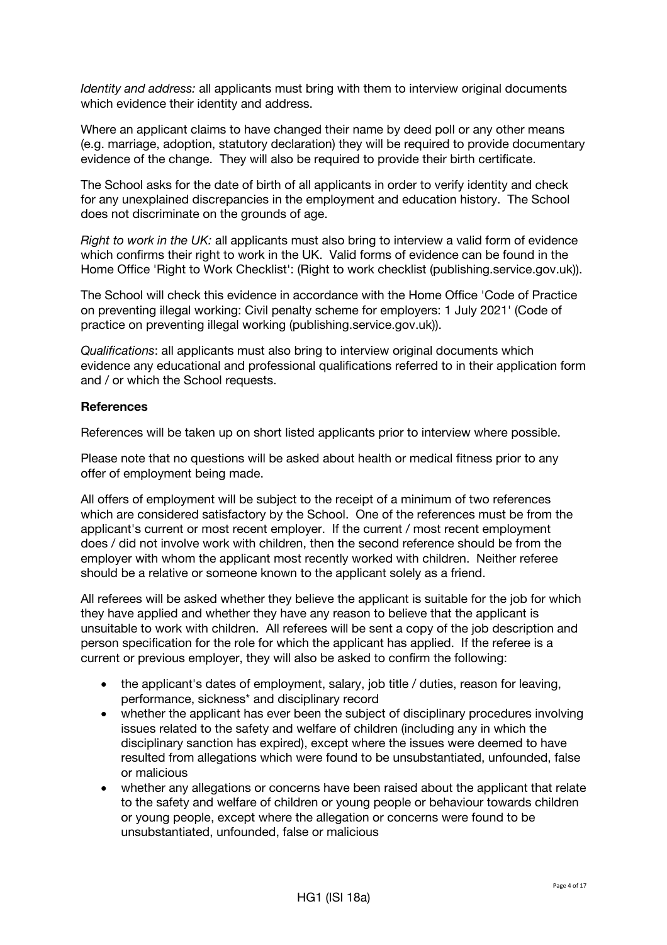*Identity and address:* all applicants must bring with them to interview original documents which evidence their identity and address.

Where an applicant claims to have changed their name by deed poll or any other means (e.g. marriage, adoption, statutory declaration) they will be required to provide documentary evidence of the change. They will also be required to provide their birth certificate.

The School asks for the date of birth of all applicants in order to verify identity and check for any unexplained discrepancies in the employment and education history. The School does not discriminate on the grounds of age.

*Right to work in the UK:* all applicants must also bring to interview a valid form of evidence which confirms their right to work in the UK. Valid forms of evidence can be found in the Home Office 'Right to Work Checklist': (Right to work checklist (publishing.service.gov.uk)).

The School will check this evidence in accordance with the Home Office 'Code of Practice on preventing illegal working: Civil penalty scheme for employers: 1 July 2021' (Code of practice on preventing illegal working (publishing.service.gov.uk)).

*Qualifications*: all applicants must also bring to interview original documents which evidence any educational and professional qualifications referred to in their application form and / or which the School requests.

#### **References**

References will be taken up on short listed applicants prior to interview where possible.

Please note that no questions will be asked about health or medical fitness prior to any offer of employment being made.

All offers of employment will be subject to the receipt of a minimum of two references which are considered satisfactory by the School. One of the references must be from the applicant's current or most recent employer. If the current / most recent employment does / did not involve work with children, then the second reference should be from the employer with whom the applicant most recently worked with children. Neither referee should be a relative or someone known to the applicant solely as a friend.

All referees will be asked whether they believe the applicant is suitable for the job for which they have applied and whether they have any reason to believe that the applicant is unsuitable to work with children. All referees will be sent a copy of the job description and person specification for the role for which the applicant has applied. If the referee is a current or previous employer, they will also be asked to confirm the following:

- the applicant's dates of employment, salary, job title / duties, reason for leaving, performance, sickness\* and disciplinary record
- whether the applicant has ever been the subject of disciplinary procedures involving issues related to the safety and welfare of children (including any in which the disciplinary sanction has expired), except where the issues were deemed to have resulted from allegations which were found to be unsubstantiated, unfounded, false or malicious
- whether any allegations or concerns have been raised about the applicant that relate to the safety and welfare of children or young people or behaviour towards children or young people, except where the allegation or concerns were found to be unsubstantiated, unfounded, false or malicious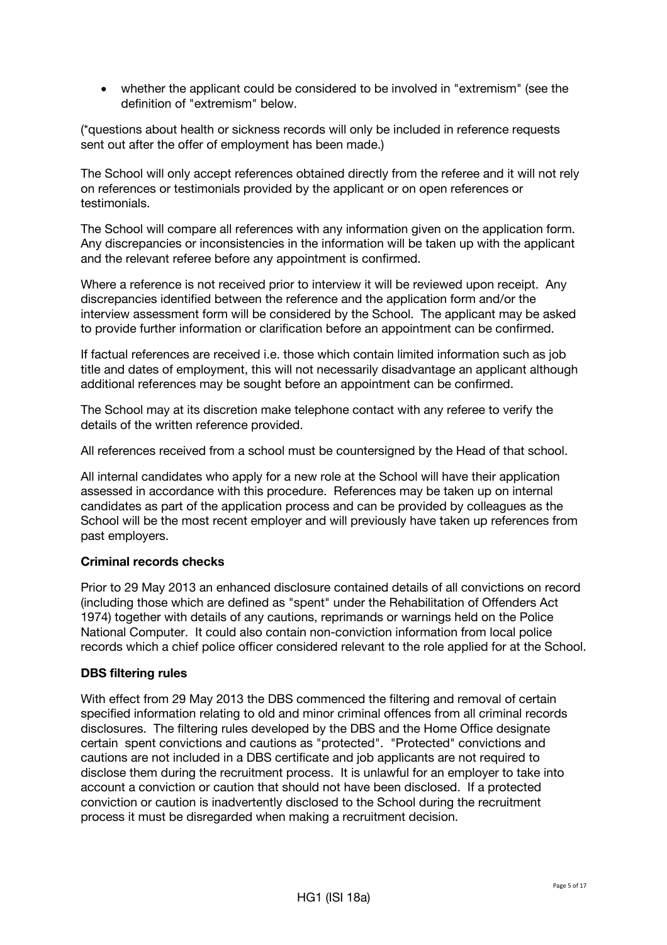• whether the applicant could be considered to be involved in "extremism" (see the definition of "extremism" below.

(\*questions about health or sickness records will only be included in reference requests sent out after the offer of employment has been made.)

The School will only accept references obtained directly from the referee and it will not rely on references or testimonials provided by the applicant or on open references or testimonials.

The School will compare all references with any information given on the application form. Any discrepancies or inconsistencies in the information will be taken up with the applicant and the relevant referee before any appointment is confirmed.

Where a reference is not received prior to interview it will be reviewed upon receipt. Any discrepancies identified between the reference and the application form and/or the interview assessment form will be considered by the School. The applicant may be asked to provide further information or clarification before an appointment can be confirmed.

If factual references are received i.e. those which contain limited information such as job title and dates of employment, this will not necessarily disadvantage an applicant although additional references may be sought before an appointment can be confirmed.

The School may at its discretion make telephone contact with any referee to verify the details of the written reference provided.

All references received from a school must be countersigned by the Head of that school.

All internal candidates who apply for a new role at the School will have their application assessed in accordance with this procedure. References may be taken up on internal candidates as part of the application process and can be provided by colleagues as the School will be the most recent employer and will previously have taken up references from past employers.

## **Criminal records checks**

Prior to 29 May 2013 an enhanced disclosure contained details of all convictions on record (including those which are defined as "spent" under the Rehabilitation of Offenders Act 1974) together with details of any cautions, reprimands or warnings held on the Police National Computer. It could also contain non-conviction information from local police records which a chief police officer considered relevant to the role applied for at the School.

## **DBS filtering rules**

With effect from 29 May 2013 the DBS commenced the filtering and removal of certain specified information relating to old and minor criminal offences from all criminal records disclosures. The filtering rules developed by the DBS and the Home Office designate certain spent convictions and cautions as "protected". "Protected" convictions and cautions are not included in a DBS certificate and job applicants are not required to disclose them during the recruitment process. It is unlawful for an employer to take into account a conviction or caution that should not have been disclosed. If a protected conviction or caution is inadvertently disclosed to the School during the recruitment process it must be disregarded when making a recruitment decision.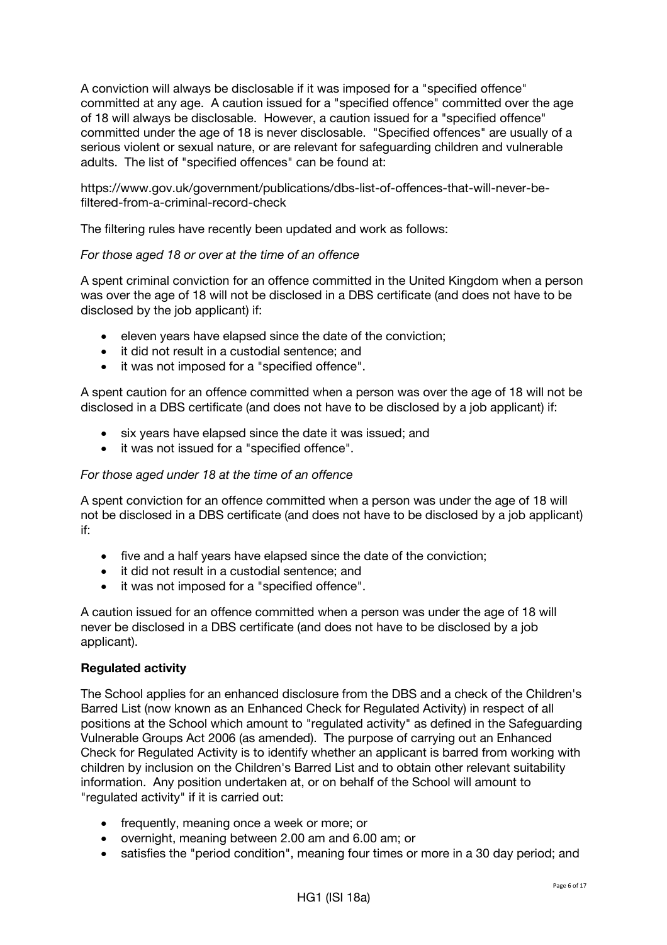A conviction will always be disclosable if it was imposed for a "specified offence" committed at any age. A caution issued for a "specified offence" committed over the age of 18 will always be disclosable. However, a caution issued for a "specified offence" committed under the age of 18 is never disclosable. "Specified offences" are usually of a serious violent or sexual nature, or are relevant for safeguarding children and vulnerable adults. The list of "specified offences" can be found at:

https://www.gov.uk/government/publications/dbs-list-of-offences-that-will-never-befiltered-from-a-criminal-record-check

The filtering rules have recently been updated and work as follows:

#### *For those aged 18 or over at the time of an offence*

A spent criminal conviction for an offence committed in the United Kingdom when a person was over the age of 18 will not be disclosed in a DBS certificate (and does not have to be disclosed by the job applicant) if:

- eleven years have elapsed since the date of the conviction;
- it did not result in a custodial sentence; and
- it was not imposed for a "specified offence".

A spent caution for an offence committed when a person was over the age of 18 will not be disclosed in a DBS certificate (and does not have to be disclosed by a job applicant) if:

- six years have elapsed since the date it was issued; and
- it was not issued for a "specified offence".

#### *For those aged under 18 at the time of an offence*

A spent conviction for an offence committed when a person was under the age of 18 will not be disclosed in a DBS certificate (and does not have to be disclosed by a job applicant) if:

- five and a half years have elapsed since the date of the conviction;
- it did not result in a custodial sentence; and
- it was not imposed for a "specified offence".

A caution issued for an offence committed when a person was under the age of 18 will never be disclosed in a DBS certificate (and does not have to be disclosed by a job applicant).

## **Regulated activity**

The School applies for an enhanced disclosure from the DBS and a check of the Children's Barred List (now known as an Enhanced Check for Regulated Activity) in respect of all positions at the School which amount to "regulated activity" as defined in the Safeguarding Vulnerable Groups Act 2006 (as amended). The purpose of carrying out an Enhanced Check for Regulated Activity is to identify whether an applicant is barred from working with children by inclusion on the Children's Barred List and to obtain other relevant suitability information. Any position undertaken at, or on behalf of the School will amount to "regulated activity" if it is carried out:

- frequently, meaning once a week or more; or
- overnight, meaning between 2.00 am and 6.00 am; or
- satisfies the "period condition", meaning four times or more in a 30 day period; and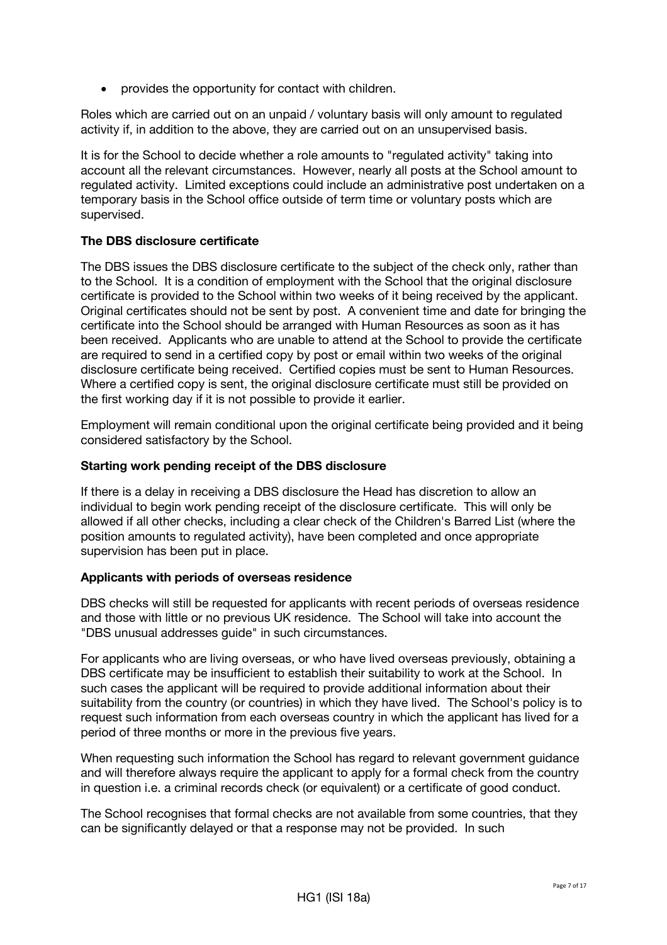• provides the opportunity for contact with children.

Roles which are carried out on an unpaid / voluntary basis will only amount to regulated activity if, in addition to the above, they are carried out on an unsupervised basis.

It is for the School to decide whether a role amounts to "regulated activity" taking into account all the relevant circumstances. However, nearly all posts at the School amount to regulated activity. Limited exceptions could include an administrative post undertaken on a temporary basis in the School office outside of term time or voluntary posts which are supervised.

## **The DBS disclosure certificate**

The DBS issues the DBS disclosure certificate to the subject of the check only, rather than to the School. It is a condition of employment with the School that the original disclosure certificate is provided to the School within two weeks of it being received by the applicant. Original certificates should not be sent by post. A convenient time and date for bringing the certificate into the School should be arranged with Human Resources as soon as it has been received. Applicants who are unable to attend at the School to provide the certificate are required to send in a certified copy by post or email within two weeks of the original disclosure certificate being received. Certified copies must be sent to Human Resources. Where a certified copy is sent, the original disclosure certificate must still be provided on the first working day if it is not possible to provide it earlier.

Employment will remain conditional upon the original certificate being provided and it being considered satisfactory by the School.

## **Starting work pending receipt of the DBS disclosure**

If there is a delay in receiving a DBS disclosure the Head has discretion to allow an individual to begin work pending receipt of the disclosure certificate. This will only be allowed if all other checks, including a clear check of the Children's Barred List (where the position amounts to regulated activity), have been completed and once appropriate supervision has been put in place.

## **Applicants with periods of overseas residence**

DBS checks will still be requested for applicants with recent periods of overseas residence and those with little or no previous UK residence. The School will take into account the "DBS unusual addresses guide" in such circumstances.

For applicants who are living overseas, or who have lived overseas previously, obtaining a DBS certificate may be insufficient to establish their suitability to work at the School. In such cases the applicant will be required to provide additional information about their suitability from the country (or countries) in which they have lived. The School's policy is to request such information from each overseas country in which the applicant has lived for a period of three months or more in the previous five years.

When requesting such information the School has regard to relevant government guidance and will therefore always require the applicant to apply for a formal check from the country in question i.e. a criminal records check (or equivalent) or a certificate of good conduct.

The School recognises that formal checks are not available from some countries, that they can be significantly delayed or that a response may not be provided. In such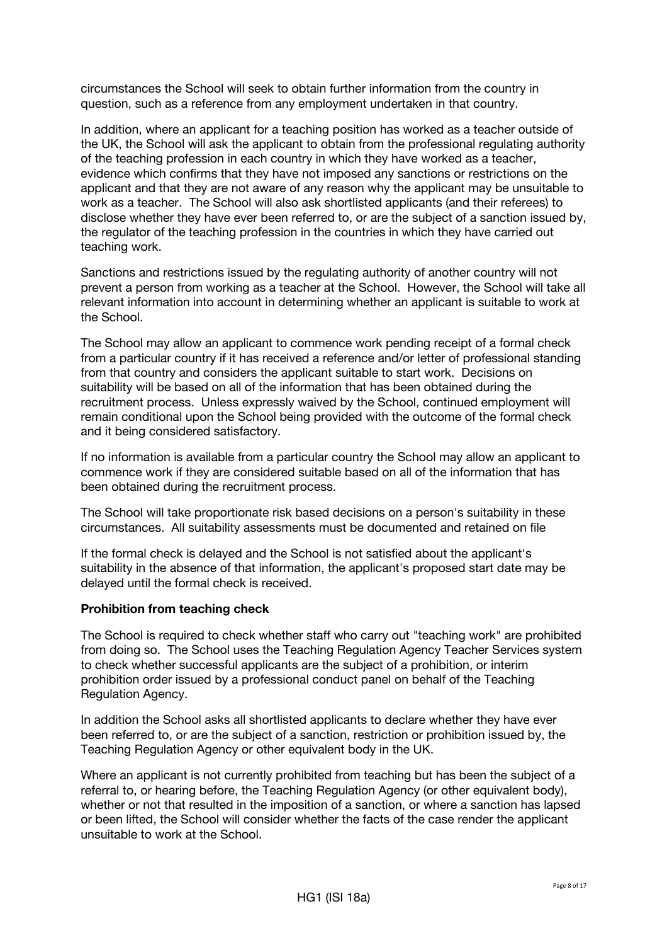circumstances the School will seek to obtain further information from the country in question, such as a reference from any employment undertaken in that country.

In addition, where an applicant for a teaching position has worked as a teacher outside of the UK, the School will ask the applicant to obtain from the professional regulating authority of the teaching profession in each country in which they have worked as a teacher, evidence which confirms that they have not imposed any sanctions or restrictions on the applicant and that they are not aware of any reason why the applicant may be unsuitable to work as a teacher. The School will also ask shortlisted applicants (and their referees) to disclose whether they have ever been referred to, or are the subject of a sanction issued by, the regulator of the teaching profession in the countries in which they have carried out teaching work.

Sanctions and restrictions issued by the regulating authority of another country will not prevent a person from working as a teacher at the School. However, the School will take all relevant information into account in determining whether an applicant is suitable to work at the School.

The School may allow an applicant to commence work pending receipt of a formal check from a particular country if it has received a reference and/or letter of professional standing from that country and considers the applicant suitable to start work. Decisions on suitability will be based on all of the information that has been obtained during the recruitment process. Unless expressly waived by the School, continued employment will remain conditional upon the School being provided with the outcome of the formal check and it being considered satisfactory.

If no information is available from a particular country the School may allow an applicant to commence work if they are considered suitable based on all of the information that has been obtained during the recruitment process.

The School will take proportionate risk based decisions on a person's suitability in these circumstances. All suitability assessments must be documented and retained on file

If the formal check is delayed and the School is not satisfied about the applicant's suitability in the absence of that information, the applicant's proposed start date may be delayed until the formal check is received.

## **Prohibition from teaching check**

The School is required to check whether staff who carry out "teaching work" are prohibited from doing so. The School uses the Teaching Regulation Agency Teacher Services system to check whether successful applicants are the subject of a prohibition, or interim prohibition order issued by a professional conduct panel on behalf of the Teaching Regulation Agency.

In addition the School asks all shortlisted applicants to declare whether they have ever been referred to, or are the subject of a sanction, restriction or prohibition issued by, the Teaching Regulation Agency or other equivalent body in the UK.

Where an applicant is not currently prohibited from teaching but has been the subject of a referral to, or hearing before, the Teaching Regulation Agency (or other equivalent body), whether or not that resulted in the imposition of a sanction, or where a sanction has lapsed or been lifted, the School will consider whether the facts of the case render the applicant unsuitable to work at the School.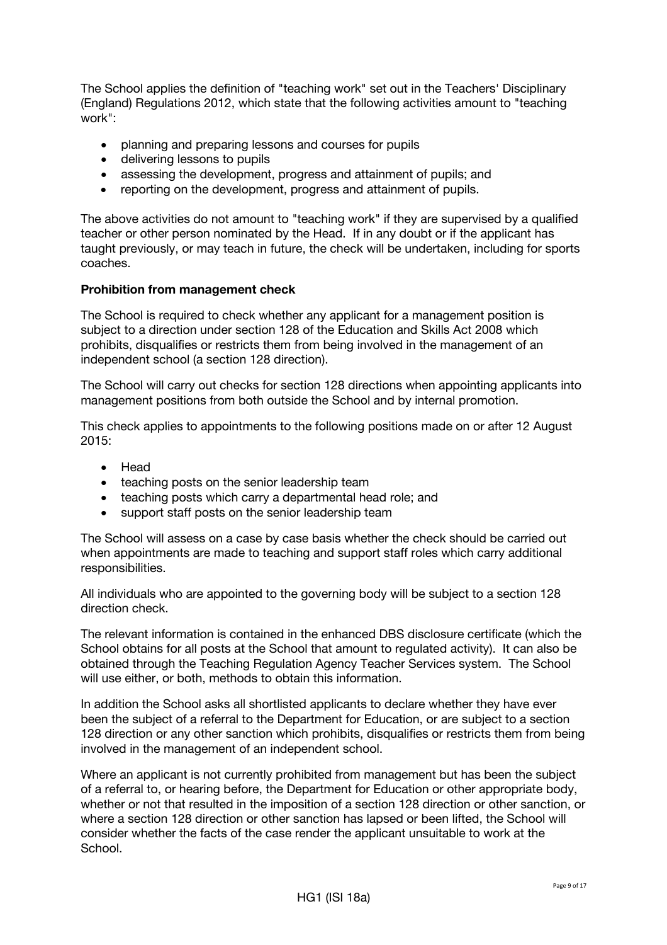The School applies the definition of "teaching work" set out in the Teachers' Disciplinary (England) Regulations 2012, which state that the following activities amount to "teaching work":

- planning and preparing lessons and courses for pupils
- delivering lessons to pupils
- assessing the development, progress and attainment of pupils; and
- reporting on the development, progress and attainment of pupils.

The above activities do not amount to "teaching work" if they are supervised by a qualified teacher or other person nominated by the Head. If in any doubt or if the applicant has taught previously, or may teach in future, the check will be undertaken, including for sports coaches.

## **Prohibition from management check**

The School is required to check whether any applicant for a management position is subject to a direction under section 128 of the Education and Skills Act 2008 which prohibits, disqualifies or restricts them from being involved in the management of an independent school (a section 128 direction).

The School will carry out checks for section 128 directions when appointing applicants into management positions from both outside the School and by internal promotion.

This check applies to appointments to the following positions made on or after 12 August 2015:

- Head
- teaching posts on the senior leadership team
- teaching posts which carry a departmental head role; and
- support staff posts on the senior leadership team

The School will assess on a case by case basis whether the check should be carried out when appointments are made to teaching and support staff roles which carry additional responsibilities.

All individuals who are appointed to the governing body will be subject to a section 128 direction check.

The relevant information is contained in the enhanced DBS disclosure certificate (which the School obtains for all posts at the School that amount to regulated activity). It can also be obtained through the Teaching Regulation Agency Teacher Services system. The School will use either, or both, methods to obtain this information.

In addition the School asks all shortlisted applicants to declare whether they have ever been the subject of a referral to the Department for Education, or are subject to a section 128 direction or any other sanction which prohibits, disqualifies or restricts them from being involved in the management of an independent school.

Where an applicant is not currently prohibited from management but has been the subject of a referral to, or hearing before, the Department for Education or other appropriate body, whether or not that resulted in the imposition of a section 128 direction or other sanction, or where a section 128 direction or other sanction has lapsed or been lifted, the School will consider whether the facts of the case render the applicant unsuitable to work at the School.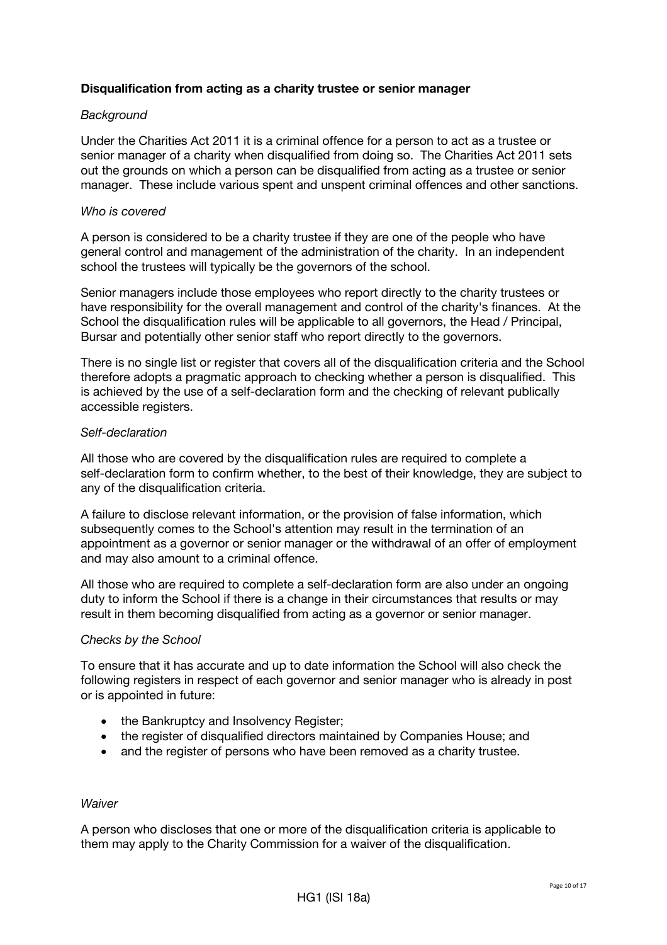## **Disqualification from acting as a charity trustee or senior manager**

#### *Background*

Under the Charities Act 2011 it is a criminal offence for a person to act as a trustee or senior manager of a charity when disqualified from doing so. The Charities Act 2011 sets out the grounds on which a person can be disqualified from acting as a trustee or senior manager. These include various spent and unspent criminal offences and other sanctions.

#### *Who is covered*

A person is considered to be a charity trustee if they are one of the people who have general control and management of the administration of the charity. In an independent school the trustees will typically be the governors of the school.

Senior managers include those employees who report directly to the charity trustees or have responsibility for the overall management and control of the charity's finances. At the School the disqualification rules will be applicable to all governors, the Head / Principal, Bursar and potentially other senior staff who report directly to the governors.

There is no single list or register that covers all of the disqualification criteria and the School therefore adopts a pragmatic approach to checking whether a person is disqualified. This is achieved by the use of a self-declaration form and the checking of relevant publically accessible registers.

#### *Self-declaration*

All those who are covered by the disqualification rules are required to complete a self-declaration form to confirm whether, to the best of their knowledge, they are subject to any of the disqualification criteria.

A failure to disclose relevant information, or the provision of false information, which subsequently comes to the School's attention may result in the termination of an appointment as a governor or senior manager or the withdrawal of an offer of employment and may also amount to a criminal offence.

All those who are required to complete a self-declaration form are also under an ongoing duty to inform the School if there is a change in their circumstances that results or may result in them becoming disqualified from acting as a governor or senior manager.

#### *Checks by the School*

To ensure that it has accurate and up to date information the School will also check the following registers in respect of each governor and senior manager who is already in post or is appointed in future:

- the Bankruptcy and Insolvency Register:
- the register of disqualified directors maintained by Companies House; and
- and the register of persons who have been removed as a charity trustee.

#### *Waiver*

A person who discloses that one or more of the disqualification criteria is applicable to them may apply to the Charity Commission for a waiver of the disqualification.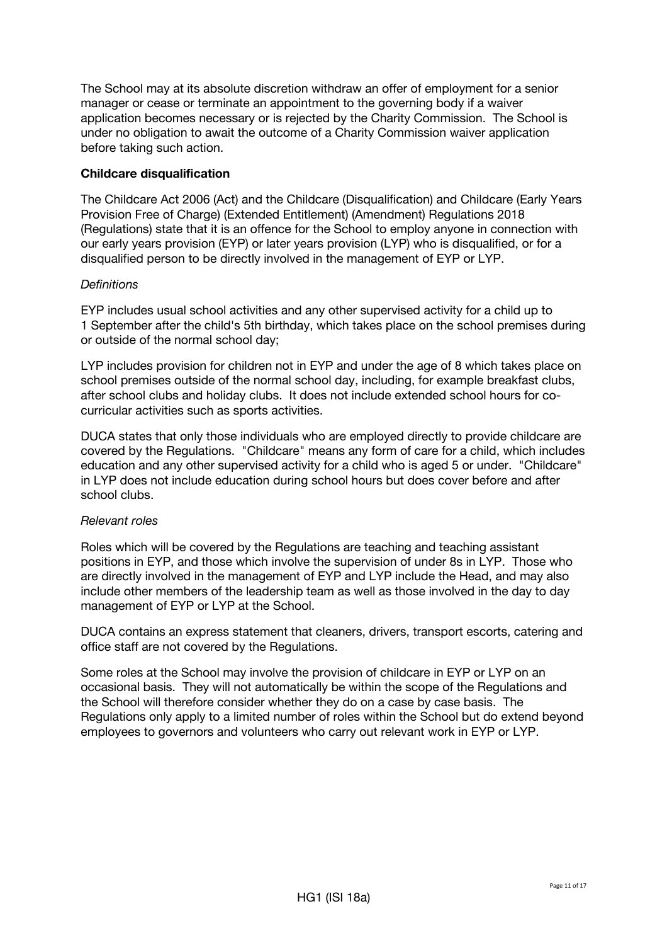The School may at its absolute discretion withdraw an offer of employment for a senior manager or cease or terminate an appointment to the governing body if a waiver application becomes necessary or is rejected by the Charity Commission. The School is under no obligation to await the outcome of a Charity Commission waiver application before taking such action.

## **Childcare disqualification**

The Childcare Act 2006 (Act) and the Childcare (Disqualification) and Childcare (Early Years Provision Free of Charge) (Extended Entitlement) (Amendment) Regulations 2018 (Regulations) state that it is an offence for the School to employ anyone in connection with our early years provision (EYP) or later years provision (LYP) who is disqualified, or for a disqualified person to be directly involved in the management of EYP or LYP.

## *Definitions*

EYP includes usual school activities and any other supervised activity for a child up to 1 September after the child's 5th birthday, which takes place on the school premises during or outside of the normal school day;

LYP includes provision for children not in EYP and under the age of 8 which takes place on school premises outside of the normal school day, including, for example breakfast clubs, after school clubs and holiday clubs. It does not include extended school hours for cocurricular activities such as sports activities.

DUCA states that only those individuals who are employed directly to provide childcare are covered by the Regulations. "Childcare" means any form of care for a child, which includes education and any other supervised activity for a child who is aged 5 or under. "Childcare" in LYP does not include education during school hours but does cover before and after school clubs.

## *Relevant roles*

Roles which will be covered by the Regulations are teaching and teaching assistant positions in EYP, and those which involve the supervision of under 8s in LYP. Those who are directly involved in the management of EYP and LYP include the Head, and may also include other members of the leadership team as well as those involved in the day to day management of EYP or LYP at the School.

DUCA contains an express statement that cleaners, drivers, transport escorts, catering and office staff are not covered by the Regulations.

Some roles at the School may involve the provision of childcare in EYP or LYP on an occasional basis. They will not automatically be within the scope of the Regulations and the School will therefore consider whether they do on a case by case basis. The Regulations only apply to a limited number of roles within the School but do extend beyond employees to governors and volunteers who carry out relevant work in EYP or LYP.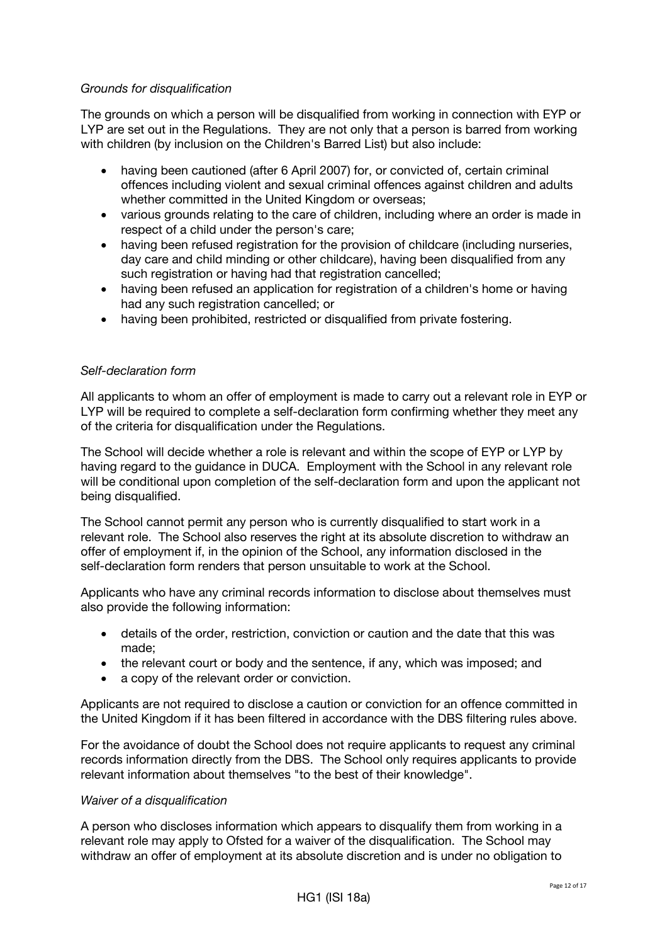#### *Grounds for disqualification*

The grounds on which a person will be disqualified from working in connection with EYP or LYP are set out in the Regulations. They are not only that a person is barred from working with children (by inclusion on the Children's Barred List) but also include:

- having been cautioned (after 6 April 2007) for, or convicted of, certain criminal offences including violent and sexual criminal offences against children and adults whether committed in the United Kingdom or overseas;
- various grounds relating to the care of children, including where an order is made in respect of a child under the person's care;
- having been refused registration for the provision of childcare (including nurseries, day care and child minding or other childcare), having been disqualified from any such registration or having had that registration cancelled;
- having been refused an application for registration of a children's home or having had any such registration cancelled; or
- having been prohibited, restricted or disqualified from private fostering.

#### *Self-declaration form*

All applicants to whom an offer of employment is made to carry out a relevant role in EYP or LYP will be required to complete a self-declaration form confirming whether they meet any of the criteria for disqualification under the Regulations.

The School will decide whether a role is relevant and within the scope of EYP or LYP by having regard to the guidance in DUCA. Employment with the School in any relevant role will be conditional upon completion of the self-declaration form and upon the applicant not being disqualified.

The School cannot permit any person who is currently disqualified to start work in a relevant role. The School also reserves the right at its absolute discretion to withdraw an offer of employment if, in the opinion of the School, any information disclosed in the self-declaration form renders that person unsuitable to work at the School.

Applicants who have any criminal records information to disclose about themselves must also provide the following information:

- details of the order, restriction, conviction or caution and the date that this was made;
- the relevant court or body and the sentence, if any, which was imposed; and
- a copy of the relevant order or conviction.

Applicants are not required to disclose a caution or conviction for an offence committed in the United Kingdom if it has been filtered in accordance with the DBS filtering rules above.

For the avoidance of doubt the School does not require applicants to request any criminal records information directly from the DBS. The School only requires applicants to provide relevant information about themselves "to the best of their knowledge".

#### *Waiver of a disqualification*

A person who discloses information which appears to disqualify them from working in a relevant role may apply to Ofsted for a waiver of the disqualification. The School may withdraw an offer of employment at its absolute discretion and is under no obligation to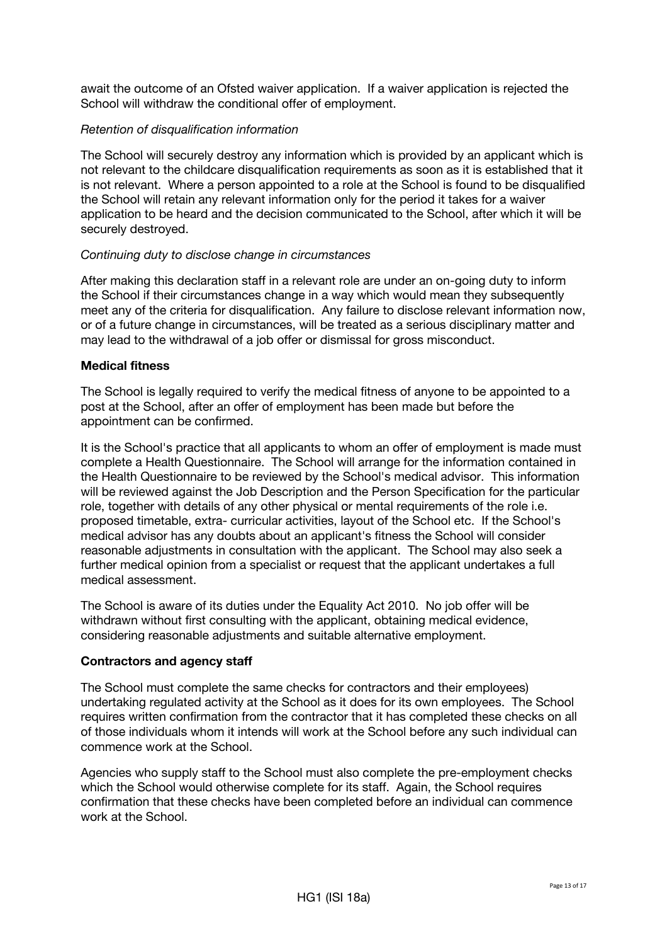await the outcome of an Ofsted waiver application. If a waiver application is rejected the School will withdraw the conditional offer of employment.

## *Retention of disqualification information*

The School will securely destroy any information which is provided by an applicant which is not relevant to the childcare disqualification requirements as soon as it is established that it is not relevant. Where a person appointed to a role at the School is found to be disqualified the School will retain any relevant information only for the period it takes for a waiver application to be heard and the decision communicated to the School, after which it will be securely destroyed.

## *Continuing duty to disclose change in circumstances*

After making this declaration staff in a relevant role are under an on-going duty to inform the School if their circumstances change in a way which would mean they subsequently meet any of the criteria for disqualification. Any failure to disclose relevant information now, or of a future change in circumstances, will be treated as a serious disciplinary matter and may lead to the withdrawal of a job offer or dismissal for gross misconduct.

#### **Medical fitness**

The School is legally required to verify the medical fitness of anyone to be appointed to a post at the School, after an offer of employment has been made but before the appointment can be confirmed.

It is the School's practice that all applicants to whom an offer of employment is made must complete a Health Questionnaire. The School will arrange for the information contained in the Health Questionnaire to be reviewed by the School's medical advisor. This information will be reviewed against the Job Description and the Person Specification for the particular role, together with details of any other physical or mental requirements of the role i.e. proposed timetable, extra- curricular activities, layout of the School etc. If the School's medical advisor has any doubts about an applicant's fitness the School will consider reasonable adjustments in consultation with the applicant. The School may also seek a further medical opinion from a specialist or request that the applicant undertakes a full medical assessment.

The School is aware of its duties under the Equality Act 2010. No job offer will be withdrawn without first consulting with the applicant, obtaining medical evidence, considering reasonable adjustments and suitable alternative employment.

#### **Contractors and agency staff**

The School must complete the same checks for contractors and their employees) undertaking regulated activity at the School as it does for its own employees. The School requires written confirmation from the contractor that it has completed these checks on all of those individuals whom it intends will work at the School before any such individual can commence work at the School.

Agencies who supply staff to the School must also complete the pre-employment checks which the School would otherwise complete for its staff. Again, the School requires confirmation that these checks have been completed before an individual can commence work at the School.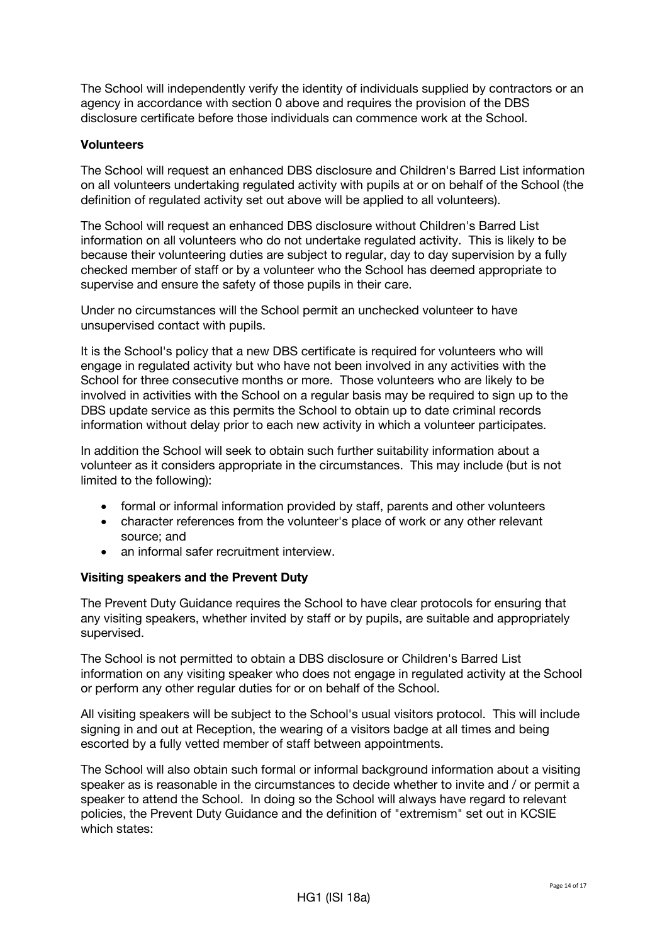The School will independently verify the identity of individuals supplied by contractors or an agency in accordance with section 0 above and requires the provision of the DBS disclosure certificate before those individuals can commence work at the School.

## **Volunteers**

The School will request an enhanced DBS disclosure and Children's Barred List information on all volunteers undertaking regulated activity with pupils at or on behalf of the School (the definition of regulated activity set out above will be applied to all volunteers).

The School will request an enhanced DBS disclosure without Children's Barred List information on all volunteers who do not undertake regulated activity. This is likely to be because their volunteering duties are subject to regular, day to day supervision by a fully checked member of staff or by a volunteer who the School has deemed appropriate to supervise and ensure the safety of those pupils in their care.

Under no circumstances will the School permit an unchecked volunteer to have unsupervised contact with pupils.

It is the School's policy that a new DBS certificate is required for volunteers who will engage in regulated activity but who have not been involved in any activities with the School for three consecutive months or more. Those volunteers who are likely to be involved in activities with the School on a regular basis may be required to sign up to the DBS update service as this permits the School to obtain up to date criminal records information without delay prior to each new activity in which a volunteer participates.

In addition the School will seek to obtain such further suitability information about a volunteer as it considers appropriate in the circumstances. This may include (but is not limited to the following):

- formal or informal information provided by staff, parents and other volunteers
- character references from the volunteer's place of work or any other relevant source; and
- an informal safer recruitment interview

## **Visiting speakers and the Prevent Duty**

The Prevent Duty Guidance requires the School to have clear protocols for ensuring that any visiting speakers, whether invited by staff or by pupils, are suitable and appropriately supervised.

The School is not permitted to obtain a DBS disclosure or Children's Barred List information on any visiting speaker who does not engage in regulated activity at the School or perform any other regular duties for or on behalf of the School.

All visiting speakers will be subject to the School's usual visitors protocol. This will include signing in and out at Reception, the wearing of a visitors badge at all times and being escorted by a fully vetted member of staff between appointments.

The School will also obtain such formal or informal background information about a visiting speaker as is reasonable in the circumstances to decide whether to invite and / or permit a speaker to attend the School. In doing so the School will always have regard to relevant policies, the Prevent Duty Guidance and the definition of "extremism" set out in KCSIE which states: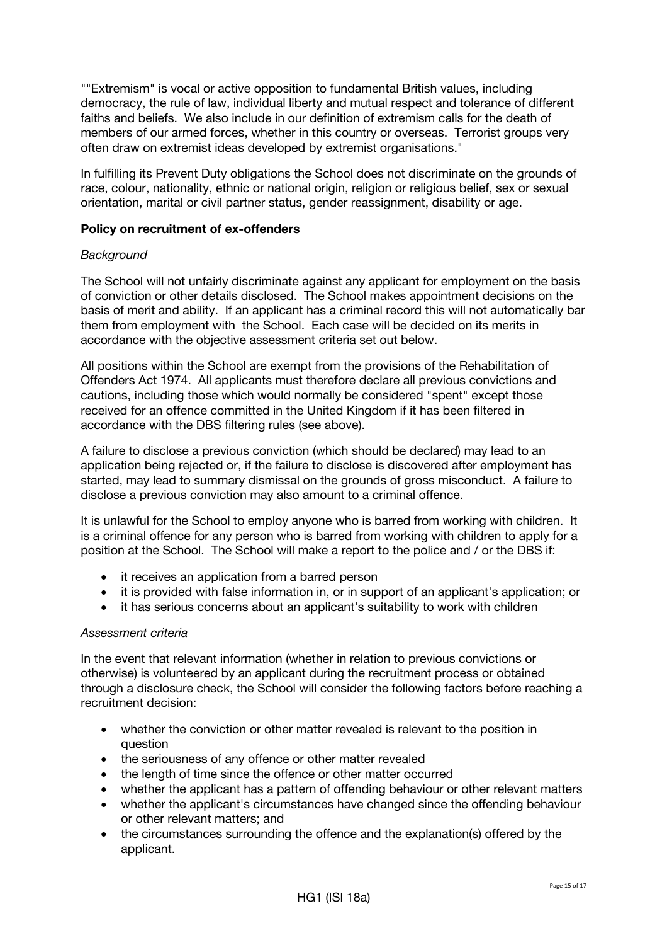""Extremism" is vocal or active opposition to fundamental British values, including democracy, the rule of law, individual liberty and mutual respect and tolerance of different faiths and beliefs. We also include in our definition of extremism calls for the death of members of our armed forces, whether in this country or overseas. Terrorist groups very often draw on extremist ideas developed by extremist organisations."

In fulfilling its Prevent Duty obligations the School does not discriminate on the grounds of race, colour, nationality, ethnic or national origin, religion or religious belief, sex or sexual orientation, marital or civil partner status, gender reassignment, disability or age.

#### **Policy on recruitment of ex-offenders**

#### *Background*

The School will not unfairly discriminate against any applicant for employment on the basis of conviction or other details disclosed. The School makes appointment decisions on the basis of merit and ability. If an applicant has a criminal record this will not automatically bar them from employment with the School. Each case will be decided on its merits in accordance with the objective assessment criteria set out below.

All positions within the School are exempt from the provisions of the Rehabilitation of Offenders Act 1974. All applicants must therefore declare all previous convictions and cautions, including those which would normally be considered "spent" except those received for an offence committed in the United Kingdom if it has been filtered in accordance with the DBS filtering rules (see above).

A failure to disclose a previous conviction (which should be declared) may lead to an application being rejected or, if the failure to disclose is discovered after employment has started, may lead to summary dismissal on the grounds of gross misconduct. A failure to disclose a previous conviction may also amount to a criminal offence.

It is unlawful for the School to employ anyone who is barred from working with children. It is a criminal offence for any person who is barred from working with children to apply for a position at the School. The School will make a report to the police and / or the DBS if:

- it receives an application from a barred person
- it is provided with false information in, or in support of an applicant's application; or
- it has serious concerns about an applicant's suitability to work with children

## *Assessment criteria*

In the event that relevant information (whether in relation to previous convictions or otherwise) is volunteered by an applicant during the recruitment process or obtained through a disclosure check, the School will consider the following factors before reaching a recruitment decision:

- whether the conviction or other matter revealed is relevant to the position in question
- the seriousness of any offence or other matter revealed
- the length of time since the offence or other matter occurred
- whether the applicant has a pattern of offending behaviour or other relevant matters
- whether the applicant's circumstances have changed since the offending behaviour or other relevant matters; and
- the circumstances surrounding the offence and the explanation(s) offered by the applicant.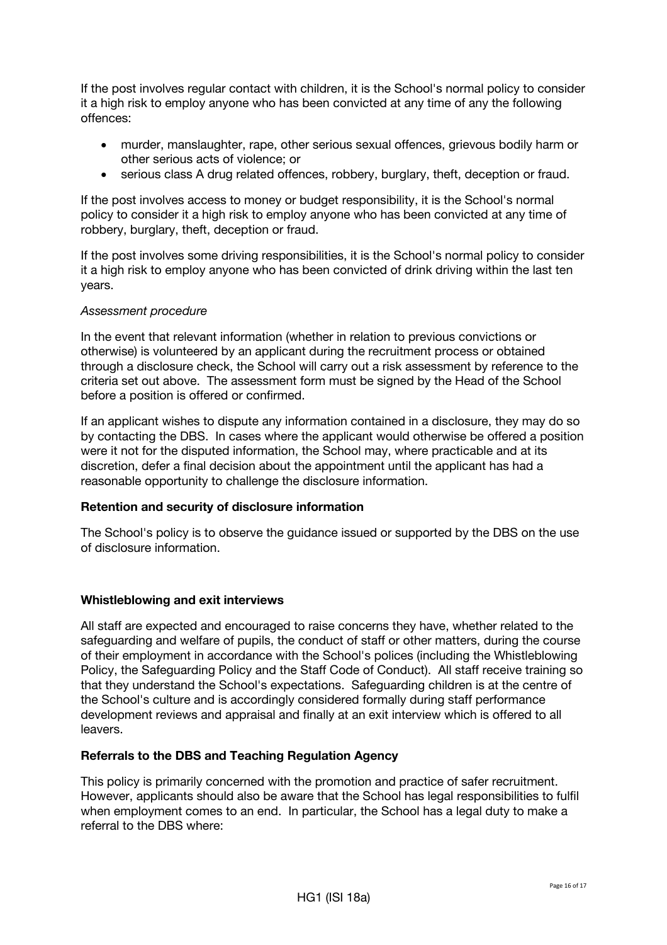If the post involves regular contact with children, it is the School's normal policy to consider it a high risk to employ anyone who has been convicted at any time of any the following offences:

- murder, manslaughter, rape, other serious sexual offences, grievous bodily harm or other serious acts of violence; or
- serious class A drug related offences, robbery, burglary, theft, deception or fraud.

If the post involves access to money or budget responsibility, it is the School's normal policy to consider it a high risk to employ anyone who has been convicted at any time of robbery, burglary, theft, deception or fraud.

If the post involves some driving responsibilities, it is the School's normal policy to consider it a high risk to employ anyone who has been convicted of drink driving within the last ten years.

#### *Assessment procedure*

In the event that relevant information (whether in relation to previous convictions or otherwise) is volunteered by an applicant during the recruitment process or obtained through a disclosure check, the School will carry out a risk assessment by reference to the criteria set out above. The assessment form must be signed by the Head of the School before a position is offered or confirmed.

If an applicant wishes to dispute any information contained in a disclosure, they may do so by contacting the DBS. In cases where the applicant would otherwise be offered a position were it not for the disputed information, the School may, where practicable and at its discretion, defer a final decision about the appointment until the applicant has had a reasonable opportunity to challenge the disclosure information.

## **Retention and security of disclosure information**

The School's policy is to observe the guidance issued or supported by the DBS on the use of disclosure information.

#### **Whistleblowing and exit interviews**

All staff are expected and encouraged to raise concerns they have, whether related to the safeguarding and welfare of pupils, the conduct of staff or other matters, during the course of their employment in accordance with the School's polices (including the Whistleblowing Policy, the Safeguarding Policy and the Staff Code of Conduct). All staff receive training so that they understand the School's expectations. Safeguarding children is at the centre of the School's culture and is accordingly considered formally during staff performance development reviews and appraisal and finally at an exit interview which is offered to all leavers.

#### **Referrals to the DBS and Teaching Regulation Agency**

This policy is primarily concerned with the promotion and practice of safer recruitment. However, applicants should also be aware that the School has legal responsibilities to fulfil when employment comes to an end. In particular, the School has a legal duty to make a referral to the DBS where: